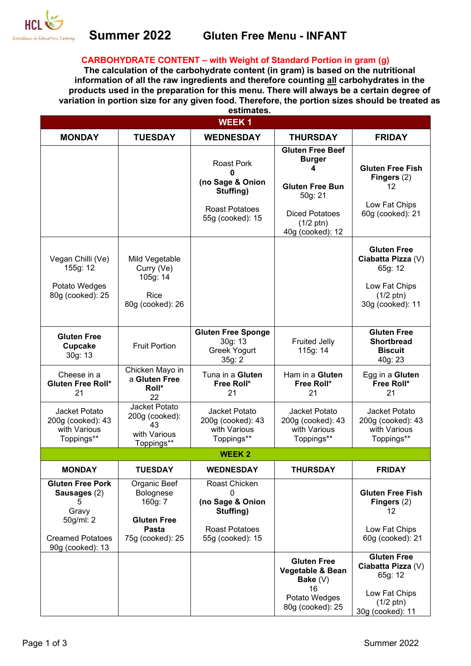

## **Summer 2022 Gluten Free Menu - INFANT**

#### **CARBOHYDRATE CONTENT – with Weight of Standard Portion in gram (g)**

**The calculation of the carbohydrate content (in gram) is based on the nutritional information of all the raw ingredients and therefore counting all carbohydrates in the products used in the preparation for this menu. There will always be a certain degree of variation in portion size for any given food. Therefore, the portion sizes should be treated as estimates.**

| <b>WEEK1</b>                                                                                                      |                                                                                         |                                                                                                         |                                                                                                                                                        |                                                                                                                 |
|-------------------------------------------------------------------------------------------------------------------|-----------------------------------------------------------------------------------------|---------------------------------------------------------------------------------------------------------|--------------------------------------------------------------------------------------------------------------------------------------------------------|-----------------------------------------------------------------------------------------------------------------|
| <b>MONDAY</b>                                                                                                     | <b>TUESDAY</b>                                                                          | <b>WEDNESDAY</b>                                                                                        | <b>THURSDAY</b>                                                                                                                                        | <b>FRIDAY</b>                                                                                                   |
|                                                                                                                   |                                                                                         | <b>Roast Pork</b><br>0<br>(no Sage & Onion<br>Stuffing)<br><b>Roast Potatoes</b><br>55g (cooked): 15    | <b>Gluten Free Beef</b><br><b>Burger</b><br>4<br><b>Gluten Free Bun</b><br>50g: 21<br><b>Diced Potatoes</b><br>$(1/2 \text{ ptn})$<br>40g (cooked): 12 | <b>Gluten Free Fish</b><br>Fingers $(2)$<br>12<br>Low Fat Chips<br>60g (cooked): 21                             |
| Vegan Chilli (Ve)<br>155g: 12<br>Potato Wedges<br>80g (cooked): 25                                                | Mild Vegetable<br>Curry (Ve)<br>105g: 14<br><b>Rice</b><br>80g (cooked): 26             |                                                                                                         |                                                                                                                                                        | <b>Gluten Free</b><br>Ciabatta Pizza (V)<br>65g: 12<br>Low Fat Chips<br>$(1/2 \text{ ptn})$<br>30g (cooked): 11 |
| <b>Gluten Free</b><br><b>Cupcake</b><br>30g: 13                                                                   | <b>Fruit Portion</b>                                                                    | <b>Gluten Free Sponge</b><br>30g: 13<br><b>Greek Yogurt</b><br>35g: 2                                   | <b>Fruited Jelly</b><br>115g: 14                                                                                                                       | <b>Gluten Free</b><br><b>Shortbread</b><br><b>Biscuit</b><br>40g: 23                                            |
| Cheese in a<br><b>Gluten Free Roll*</b><br>21                                                                     | Chicken Mayo in<br>a Gluten Free<br>Roll*<br>22                                         | Tuna in a Gluten<br>Free Roll*<br>21                                                                    | Ham in a Gluten<br>Free Roll*<br>21                                                                                                                    | Egg in a Gluten<br>Free Roll*<br>21                                                                             |
| Jacket Potato<br>200g (cooked): 43<br>with Various<br>Toppings**                                                  | Jacket Potato<br>200g (cooked):<br>43<br>with Various<br>Toppings**                     | Jacket Potato<br>200g (cooked): 43<br>with Various<br>Toppings**                                        | Jacket Potato<br>200g (cooked): 43<br>with Various<br>Toppings**                                                                                       | Jacket Potato<br>200g (cooked): 43<br>with Various<br>Toppings**                                                |
| <b>WEEK2</b>                                                                                                      |                                                                                         |                                                                                                         |                                                                                                                                                        |                                                                                                                 |
| <b>MONDAY</b>                                                                                                     | TUESDAY                                                                                 | WEDNESDAY                                                                                               | THURSDAY                                                                                                                                               | <b>FRIDAY</b>                                                                                                   |
| <b>Gluten Free Pork</b><br>Sausages (2)<br>5<br>Gravy<br>50g/ml: 2<br><b>Creamed Potatoes</b><br>90g (cooked): 13 | Organic Beef<br>Bolognese<br>160g: 7<br><b>Gluten Free</b><br>Pasta<br>75g (cooked): 25 | Roast Chicken<br>$\Omega$<br>(no Sage & Onion<br>Stuffing)<br><b>Roast Potatoes</b><br>55g (cooked): 15 |                                                                                                                                                        | <b>Gluten Free Fish</b><br>Fingers $(2)$<br>12<br>Low Fat Chips<br>60g (cooked): 21                             |
|                                                                                                                   |                                                                                         |                                                                                                         | <b>Gluten Free</b><br>Vegetable & Bean<br>Bake $(V)$<br>16<br>Potato Wedges<br>80g (cooked): 25                                                        | <b>Gluten Free</b><br>Ciabatta Pizza (V)<br>65g: 12<br>Low Fat Chips<br>$(1/2 \text{ ptn})$<br>30g (cooked): 11 |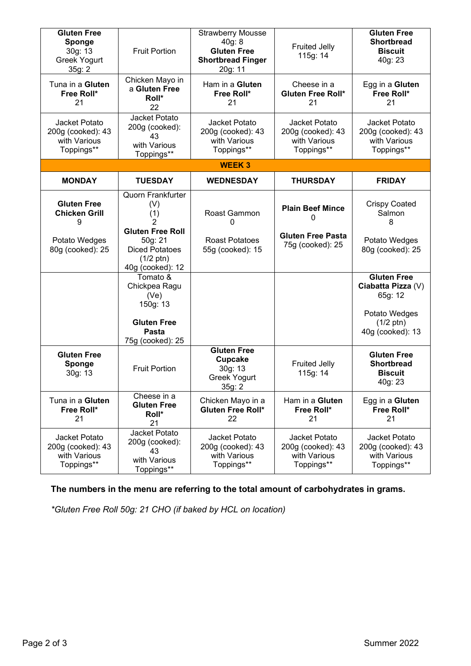| <b>Gluten Free</b><br>Sponge<br>30g: 13<br><b>Greek Yogurt</b><br>35g: 2 | <b>Fruit Portion</b>                                                                                   | <b>Strawberry Mousse</b><br>40g: 8<br><b>Gluten Free</b><br><b>Shortbread Finger</b><br>20g: 11 | <b>Fruited Jelly</b><br>115g: 14                                 | <b>Gluten Free</b><br><b>Shortbread</b><br><b>Biscuit</b><br>40g: 23 |
|--------------------------------------------------------------------------|--------------------------------------------------------------------------------------------------------|-------------------------------------------------------------------------------------------------|------------------------------------------------------------------|----------------------------------------------------------------------|
| Tuna in a Gluten<br>Free Roll*<br>21                                     | Chicken Mayo in<br>a Gluten Free<br>Roll*<br>22                                                        | Ham in a Gluten<br>Free Roll*<br>21                                                             | Cheese in a<br><b>Gluten Free Roll*</b><br>21                    | Egg in a Gluten<br>Free Roll*<br>21                                  |
| Jacket Potato<br>200g (cooked): 43<br>with Various<br>Toppings**         | Jacket Potato<br>200g (cooked):<br>43<br>with Various<br>Toppings**                                    | Jacket Potato<br>200g (cooked): 43<br>with Various<br>Toppings**                                | Jacket Potato<br>200g (cooked): 43<br>with Various<br>Toppings** | Jacket Potato<br>200g (cooked): 43<br>with Various<br>Toppings**     |
|                                                                          |                                                                                                        | <b>WEEK3</b>                                                                                    |                                                                  |                                                                      |
| <b>MONDAY</b>                                                            | <b>TUESDAY</b>                                                                                         | <b>WEDNESDAY</b>                                                                                | <b>THURSDAY</b>                                                  | <b>FRIDAY</b>                                                        |
| <b>Gluten Free</b><br><b>Chicken Grill</b><br>9                          | <b>Quorn Frankfurter</b><br>(V)<br>(1)                                                                 | Roast Gammon<br>0                                                                               | <b>Plain Beef Mince</b><br>0                                     | <b>Crispy Coated</b><br>Salmon<br>8                                  |
| Potato Wedges<br>80g (cooked): 25                                        | <b>Gluten Free Roll</b><br>50g: 21<br><b>Diced Potatoes</b><br>$(1/2 \text{ ptn})$<br>40g (cooked): 12 | <b>Roast Potatoes</b><br>55g (cooked): 15                                                       | <b>Gluten Free Pasta</b><br>75g (cooked): 25                     | Potato Wedges<br>80g (cooked): 25                                    |
|                                                                          | Tomato &<br>Chickpea Ragu<br>(Ve)<br>150g: 13                                                          |                                                                                                 |                                                                  | <b>Gluten Free</b><br>Ciabatta Pizza (V)<br>65g: 12                  |
|                                                                          | <b>Gluten Free</b><br>Pasta<br>75g (cooked): 25                                                        |                                                                                                 |                                                                  | Potato Wedges<br>$(1/2 \text{ ptn})$<br>40g (cooked): 13             |
| <b>Gluten Free</b><br>Sponge<br>30g: 13                                  | <b>Fruit Portion</b>                                                                                   | <b>Gluten Free</b><br><b>Cupcake</b><br>30g: 13<br><b>Greek Yogurt</b><br>35g: 2                | <b>Fruited Jelly</b><br>115g: 14                                 | <b>Gluten Free</b><br><b>Shortbread</b><br><b>Biscuit</b><br>40g: 23 |
| Tuna in a Gluten<br>Free Roll*<br>21                                     | Cheese in a<br><b>Gluten Free</b><br>Roll*<br>21                                                       | Chicken Mayo in a<br>Gluten Free Roll*<br>22                                                    | Ham in a Gluten<br>Free Roll*<br>21                              | Egg in a Gluten<br>Free Roll*<br>21                                  |
| Jacket Potato<br>200g (cooked): 43<br>with Various<br>Toppings**         | Jacket Potato<br>200g (cooked):<br>43<br>with Various<br>Toppings**                                    | Jacket Potato<br>200g (cooked): 43<br>with Various<br>Toppings**                                | Jacket Potato<br>200g (cooked): 43<br>with Various<br>Toppings** | Jacket Potato<br>200g (cooked): 43<br>with Various<br>Toppings**     |

## **The numbers in the menu are referring to the total amount of carbohydrates in grams.**

*\*Gluten Free Roll 50g: 21 CHO (if baked by HCL on location)*